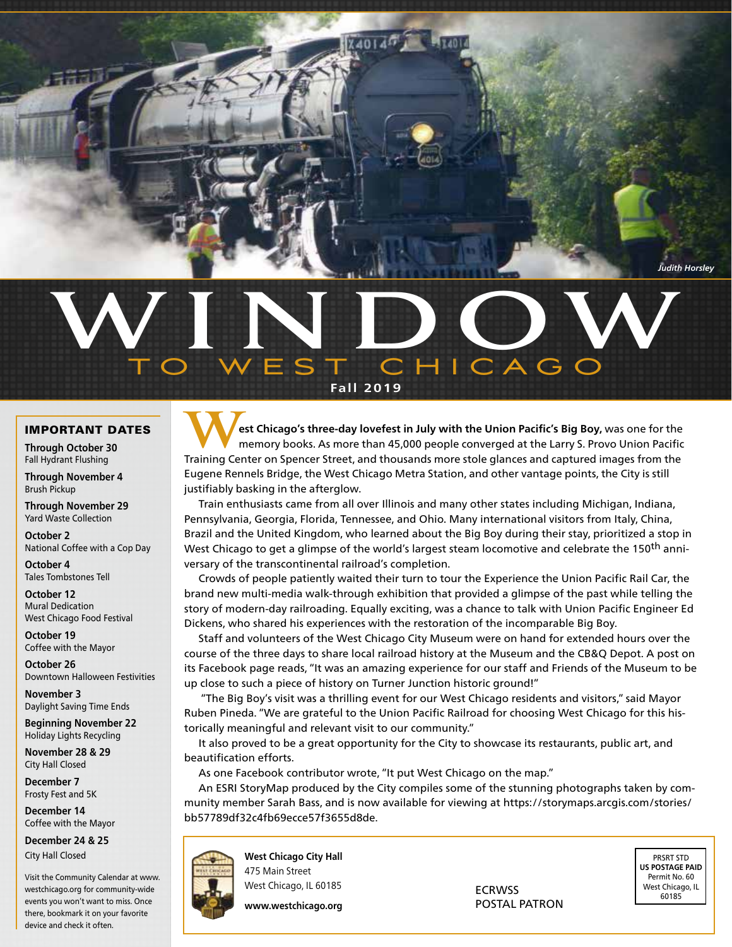*Judith Horsley*

## WINDO, TO WEST CHICAGO **Fall 2019 w**

### Important Dates

**Through October 30** Fall Hydrant Flushing

**Through November 4** Brush Pickup

**Through November 29** Yard Waste Collection

**October 2** National Coffee with a Cop Day

**October 4** Tales Tombstones Tell

**October 12** Mural Dedication West Chicago Food Festival

**October 19** Coffee with the Mayor

**October 26** Downtown Halloween Festivities

**November 3** Daylight Saving Time Ends

**Beginning November 22**  Holiday Lights Recycling

**November 28 & 29** City Hall Closed

**December 7** Frosty Fest and 5K

**December 14**  Coffee with the Mayor

**December 24 & 25** City Hall Closed

Visit the Community Calendar at www. westchicago.org for community-wide events you won't want to miss. Once there, bookmark it on your favorite device and check it often.

**West Chicago's three-day lovefest in July with the Union Pacific's Big Boy, was one for the memory books. As more than 45,000 people converged at the Larry S. Provo Union Pacific<br>Training Center on Spencer Street, and tho** memory books. As more than 45,000 people converged at the Larry S. Provo Union Pacific Training Center on Spencer Street, and thousands more stole glances and captured images from the Eugene Rennels Bridge, the West Chicago Metra Station, and other vantage points, the City is still justifiably basking in the afterglow.

Train enthusiasts came from all over Illinois and many other states including Michigan, Indiana, Pennsylvania, Georgia, Florida, Tennessee, and Ohio. Many international visitors from Italy, China, Brazil and the United Kingdom, who learned about the Big Boy during their stay, prioritized a stop in West Chicago to get a glimpse of the world's largest steam locomotive and celebrate the 150<sup>th</sup> anniversary of the transcontinental railroad's completion.

Crowds of people patiently waited their turn to tour the Experience the Union Pacific Rail Car, the brand new multi-media walk-through exhibition that provided a glimpse of the past while telling the story of modern-day railroading. Equally exciting, was a chance to talk with Union Pacific Engineer Ed Dickens, who shared his experiences with the restoration of the incomparable Big Boy.

Staff and volunteers of the West Chicago City Museum were on hand for extended hours over the course of the three days to share local railroad history at the Museum and the CB&Q Depot. A post on its Facebook page reads, "It was an amazing experience for our staff and Friends of the Museum to be up close to such a piece of history on Turner Junction historic ground!"

 "The Big Boy's visit was a thrilling event for our West Chicago residents and visitors," said Mayor Ruben Pineda. "We are grateful to the Union Pacific Railroad for choosing West Chicago for this historically meaningful and relevant visit to our community."

It also proved to be a great opportunity for the City to showcase its restaurants, public art, and beautification efforts.

As one Facebook contributor wrote, "It put West Chicago on the map."

An ESRI StoryMap produced by the City compiles some of the stunning photographs taken by community member Sarah Bass, and is now available for viewing at https://storymaps.arcgis.com/stories/ bb57789df32c4fb69ecce57f3655d8de.

**West Chicago City Hall** 475 Main Street

**www.westchicago.org**

POSTAL PATRON

PRSRT STD **US POSTAGE PAID** Permit No. 60 West Chicago, IL 60185

West Chicago, IL 60185 **ECRWSS**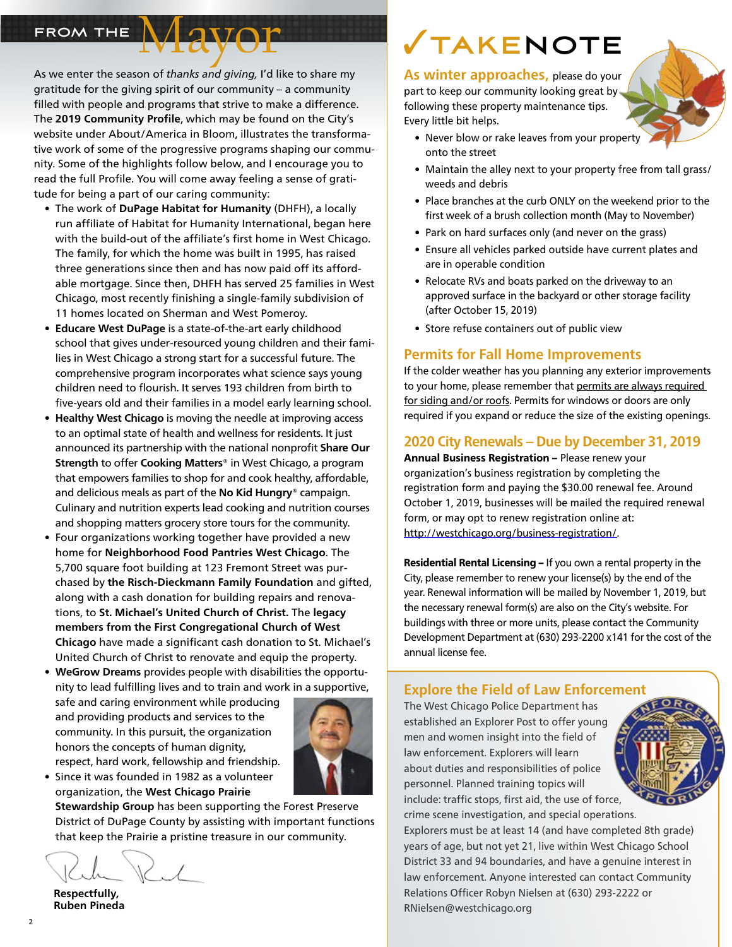As we enter the season of *thanks and giving,* I'd like to share my gratitude for the giving spirit of our community – a community filled with people and programs that strive to make a difference. The **2019 Community Profile**, which may be found on the City's website under About/America in Bloom, illustrates the transformative work of some of the progressive programs shaping our community. Some of the highlights follow below, and I encourage you to read the full Profile. You will come away feeling a sense of gratitude for being a part of our caring community:

Mayor

- • The work of **DuPage Habitat for Humanity** (DHFH), a locally run affiliate of Habitat for Humanity International, began here with the build-out of the affiliate's first home in West Chicago. The family, for which the home was built in 1995, has raised three generations since then and has now paid off its affordable mortgage. Since then, DHFH has served 25 families in West Chicago, most recently finishing a single-family subdivision of 11 homes located on Sherman and West Pomeroy.
- **• Educare West DuPage** is a state-of-the-art early childhood school that gives under-resourced young children and their families in West Chicago a strong start for a successful future. The comprehensive program incorporates what science says young children need to flourish. It serves 193 children from birth to five-years old and their families in a model early learning school.
- **• Healthy West Chicago** is moving the needle at improving access to an optimal state of health and wellness for residents. It just announced its partnership with the national nonprofit **Share Our Strength** to offer **Cooking Matters®** in West Chicago, a program that empowers families to shop for and cook healthy, affordable, and delicious meals as part of the **No Kid Hungry®** campaign. Culinary and nutrition experts lead cooking and nutrition courses and shopping matters grocery store tours for the community.
- Four organizations working together have provided a new home for **Neighborhood Food Pantries West Chicago**. The 5,700 square foot building at 123 Fremont Street was purchased by **the Risch-Dieckmann Family Foundation** and gifted, along with a cash donation for building repairs and renovations, to **St. Michael's United Church of Christ.** The **legacy members from the First Congregational Church of West Chicago** have made a significant cash donation to St. Michael's United Church of Christ to renovate and equip the property.
- **• WeGrow Dreams** provides people with disabilities the opportunity to lead fulfilling lives and to train and work in a supportive,

safe and caring environment while producing and providing products and services to the community. In this pursuit, the organization honors the concepts of human dignity, respect, hard work, fellowship and friendship.



• Since it was founded in 1982 as a volunteer organization, the **West Chicago Prairie** 

**Stewardship Group** has been supporting the Forest Preserve District of DuPage County by assisting with important functions that keep the Prairie a pristine treasure in our community.

 **Respectfully, Ruben Pineda**

## FROM THE **WAVOF CONSUMING STAKENOTE**

**As winter approaches,** please do your part to keep our community looking great byfollowing these property maintenance tips. Every little bit helps.



- Maintain the alley next to your property free from tall grass/ weeds and debris
- Place branches at the curb ONLY on the weekend prior to the first week of a brush collection month (May to November)
- Park on hard surfaces only (and never on the grass)
- Ensure all vehicles parked outside have current plates and are in operable condition
- Relocate RVs and boats parked on the driveway to an approved surface in the backyard or other storage facility (after October 15, 2019)
- Store refuse containers out of public view

### **Permits for Fall Home Improvements**

If the colder weather has you planning any exterior improvements to your home, please remember that permits are always required for siding and/or roofs. Permits for windows or doors are only required if you expand or reduce the size of the existing openings.

### **2020 City Renewals – Due by December 31, 2019**

Annual Business Registration - Please renew your organization's business registration by completing the registration form and paying the \$30.00 renewal fee. Around October 1, 2019, businesses will be mailed the required renewal form, or may opt to renew registration online at: http://westchicago.org/business-registration/.

Residential Rental Licensing - If you own a rental property in the City, please remember to renew your license(s) by the end of the year. Renewal information will be mailed by November 1, 2019, but the necessary renewal form(s) are also on the City's website. For buildings with three or more units, please contact the Community Development Department at (630) 293-2200 x141 for the cost of the annual license fee.

### **Explore the Field of Law Enforcement**

The West Chicago Police Department has established an Explorer Post to offer young men and women insight into the field of law enforcement. Explorers will learn about duties and responsibilities of police personnel. Planned training topics will include: traffic stops, first aid, the use of force, crime scene investigation, and special operations.



Explorers must be at least 14 (and have completed 8th grade) years of age, but not yet 21, live within West Chicago School District 33 and 94 boundaries, and have a genuine interest in law enforcement. Anyone interested can contact Community Relations Officer Robyn Nielsen at (630) 293-2222 or RNielsen@westchicago.org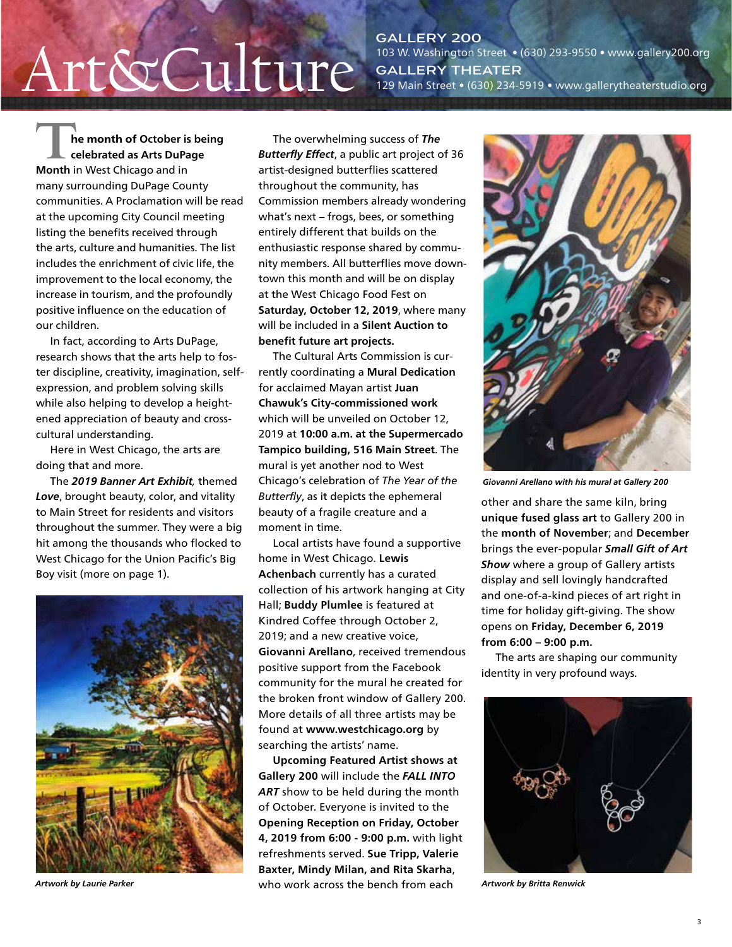# $\operatorname{Art\&CulterY\,200} \atop \text{A}{\text{Lur}}$

103 W. Washington Street • (630) 293-9550 • www.gallery200.org **Gallery Theater**  129 Main Street • (630) 234-5919 • www.gallerytheaterstudio.org

**The month of October is being celebrated as Arts DuPage Month** in West Chicago and in many surrounding DuPage County communities. A Proclamation will be read at the upcoming City Council meeting listing the benefits received through the arts, culture and humanities. The list includes the enrichment of civic life, the improvement to the local economy, the increase in tourism, and the profoundly positive influence on the education of our children.

In fact, according to Arts DuPage, research shows that the arts help to foster discipline, creativity, imagination, selfexpression, and problem solving skills while also helping to develop a heightened appreciation of beauty and crosscultural understanding.

Here in West Chicago, the arts are doing that and more.

The *2019 Banner Art Exhibit,* themed *Love*, brought beauty, color, and vitality to Main Street for residents and visitors throughout the summer. They were a big hit among the thousands who flocked to West Chicago for the Union Pacific's Big Boy visit (more on page 1).



*Artwork by Laurie Parker*

The overwhelming success of *The Butterfly Effect*, a public art project of 36 artist-designed butterflies scattered throughout the community, has Commission members already wondering what's next – frogs, bees, or something entirely different that builds on the enthusiastic response shared by community members. All butterflies move downtown this month and will be on display at the West Chicago Food Fest on **Saturday, October 12, 2019**, where many will be included in a **Silent Auction to benefit future art projects.** 

The Cultural Arts Commission is currently coordinating a **Mural Dedication**  for acclaimed Mayan artist **Juan Chawuk's City-commissioned work** which will be unveiled on October 12, 2019 at **10:00 a.m. at the Supermercado Tampico building, 516 Main Street**. The mural is yet another nod to West Chicago's celebration of *The Year of the Butterfly*, as it depicts the ephemeral beauty of a fragile creature and a moment in time.

Local artists have found a supportive home in West Chicago. **Lewis Achenbach** currently has a curated collection of his artwork hanging at City Hall; **Buddy Plumlee** is featured at Kindred Coffee through October 2, 2019; and a new creative voice, **Giovanni Arellano**, received tremendous positive support from the Facebook community for the mural he created for the broken front window of Gallery 200. More details of all three artists may be found at **www.westchicago.org** by searching the artists' name.

**Upcoming Featured Artist shows at Gallery 200** will include the *FALL INTO*  ART show to be held during the month of October. Everyone is invited to the **Opening Reception on Friday, October 4, 2019 from 6:00 - 9:00 p.m.** with light refreshments served. **Sue Tripp, Valerie Baxter, Mindy Milan, and Rita Skarha**, who work across the bench from each



*Giovanni Arellano with his mural at Gallery 200*

other and share the same kiln, bring **unique fused glass art** to Gallery 200 in the **month of November**; and **December**  brings the ever-popular *Small Gift of Art Show* where a group of Gallery artists display and sell lovingly handcrafted and one-of-a-kind pieces of art right in time for holiday gift-giving. The show opens on **Friday, December 6, 2019 from 6:00 – 9:00 p.m.**

The arts are shaping our community identity in very profound ways.



*Artwork by Britta Renwick*